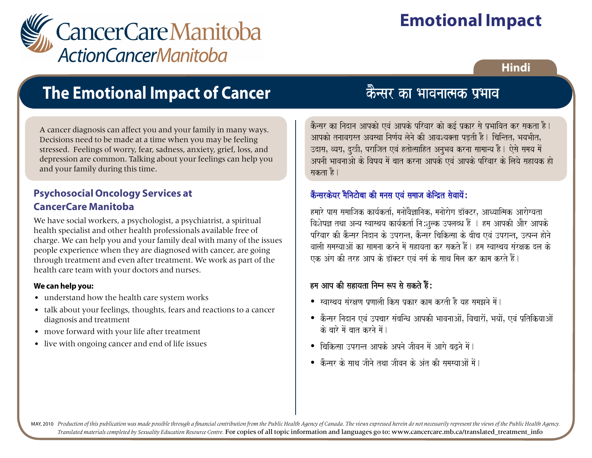

# **Emotional Impact**

### **Hindi**

# **The Emotional Impact of Cancer**

A cancer diagnosis can affect you and your family in many ways. Decisions need to be made at a time when you may be feeling stressed. Feelings of worry, fear, sadness, anxiety, grief, loss, and depression are common. Talking about your feelings can help you and your family during this time.

#### **Psychosocial Oncology Services at CancerCare Manitoba**

We have social workers, a psychologist, a psychiatrist, a spiritual health specialist and other health professionals available free of charge. We can help you and your family deal with many of the issues people experience when they are diagnosed with cancer, are going through treatment and even after treatment. We work as part of the health care team with your doctors and nurses.

#### **We can help you:**

- understand how the health care system works
- talk about your feelings, thoughts, fears and reactions to a cancer diagnosis and treatment
- move forward with your life after treatment
- live with ongoing cancer and end of life issues

nsar ka <mark>केन्सर का भावन</mark> kOnsar ka inadana Aapkao evaM Aapko pirvaar kao k[- p`kar sao p`Baaivat kr sakta hO. kOnsar ka inadana Aapkao evaM Aapko pirvaar kao k[- p`kar sao p`Baaivat kr sakta hO.

आपको तनावग्रस्त अवस्था निर्णय लेने की आवश्यक्ता पड़ती है। चिन्तित, भयभीत,<br>् उदास, व्यग्र, दुखी, पराजित एवं हतोत्साहित अनुभव करना सामान्य है। ऐसे समय में अपनी भावनाओ के विषय में बात करना आपके एवं आपके परिवार के लिये सहायक हो <sub>.</sub><br> सकता है।<br>—

## कैन्सरकेयर <mark>मैनिटोबा की मनस एवं समाज केन्द्रित सेवायें</mark> :

हमारे पास समाजिक कार्यकर्ता, मनोवैज्ञानिक, मनोरोग डॉक्टर, आध्यात्मिक आरोग्यता<br>C विशेषज्ञ तथा अन्य स्वास्थय कार्यकर्ता नि:शुल्क उपलब्ध हैं । हम आपकी और आपके<br>C pirvaar kI kOnsar inadana ko ]prantÊ kOnsar icaik%saa ko baIca evaM ]prant¸ ]%pnna haonao pirvaar kI kOnsar inadana ko ]prantÊ kOnsar icaik%saa ko baIca evaM ]prant¸ ]%pnna haonao vaalaI samasyaaAaoM ka saamanaa krnao maoM sahayata kr sakto hOM. hma svaasqaya saMrxak dla ko vaalaI samasyaaAaoM ka saamanaa krnao maoM sahayata kr sakto hOM. hma svaasqaya saMrxak dla ko एक अंग की तरह आप के डॉक्टर एवं नर्स के साथ मिल कर काम करते हैं |

### हम आप की सहायता निम्न रूप से सकते हैं $\colon$

- स्वास्थय संरक्षण प्रणाली किस प्रकार काम करती है यह समझने में।
- कैन्सर निदान एवं उपचार संबन्धि आपकी भावनाओं, विचारों, भयों, एवं प्रतिकियाओं के बारे में बात करने में । $\overline{\phantom{a}}$
- विकित्सा उपरान्त आपके अपने जीवन में आगे बढ़ने में।
- $\bullet$  कैन्सर के साथ जीने तथा जीवन के अंत की समस्याओं में |

MAY, 2010 Production of this publication was made possible through a financial contribution from the Public Health Agency of Canada. The views expressed herein do not necessarily represent the views of the Public Health Ag *Translated materials completed by Sexuality Education Resource Centre.* For copies of all topic information and languages go to: www.cancercare.mb.ca/translated\_treatment\_info